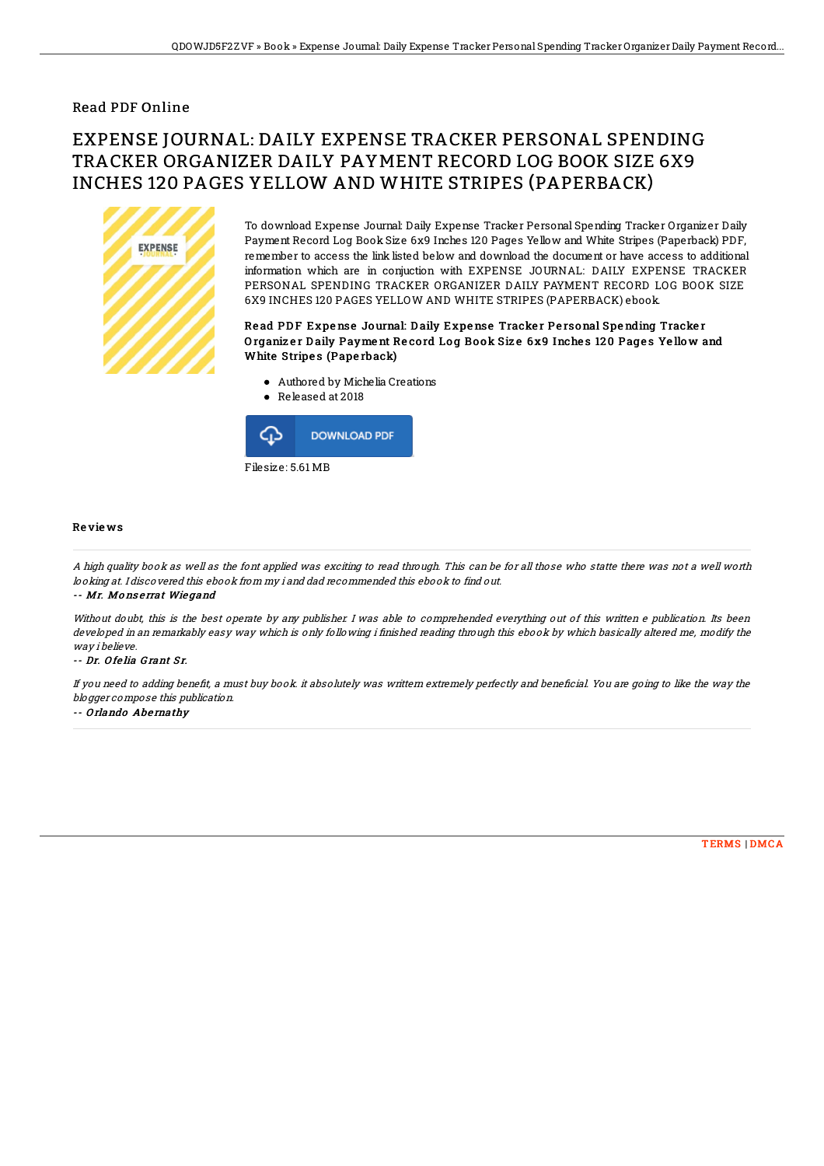## Read PDF Online

# EXPENSE JOURNAL: DAILY EXPENSE TRACKER PERSONAL SPENDING TRACKER ORGANIZER DAILY PAYMENT RECORD LOG BOOK SIZE 6X9 INCHES 120 PAGES YELLOW AND WHITE STRIPES (PAPERBACK)



To download Expense Journal: Daily Expense Tracker Personal Spending Tracker Organizer Daily Payment Record Log Book Size 6x9 Inches 120 Pages Yellow and White Stripes (Paperback) PDF, remember to access the link listed below and download the document or have access to additional information which are in conjuction with EXPENSE JOURNAL: DAILY EXPENSE TRACKER PERSONAL SPENDING TRACKER ORGANIZER DAILY PAYMENT RECORD LOG BOOK SIZE 6X9 INCHES 120 PAGES YELLOW AND WHITE STRIPES (PAPERBACK) ebook.

### Read PDF Expense Journal: Daily Expense Tracker Personal Spending Tracker Organizer Daily Payment Record Log Book Size 6x9 Inches 120 Pages Yellow and White Stripes (Paperback)

- Authored by Michelia Creations
- Released at 2018



#### Re vie ws

A high quality book as well as the font applied was exciting to read through. This can be for all those who statte there was not <sup>a</sup> well worth looking at. I discovered this ebook from my i and dad recommended this ebook to find out.

#### -- Mr. Mo ns <sup>e</sup> rrat Wie gand

Without doubt, this is the best operate by any publisher. I was able to comprehended everything out of this written e publication. Its been developed in an remarkably easy way which is only following i finished reading through this ebook by which basically altered me, modify the way i believe.

#### -- Dr. Ofelia Grant Sr.

If you need to adding benefit, a must buy book. it absolutely was writtern extremely perfectly and beneficial. You are going to like the way the blogger compose this publication.

#### -- Orlando Abernathy